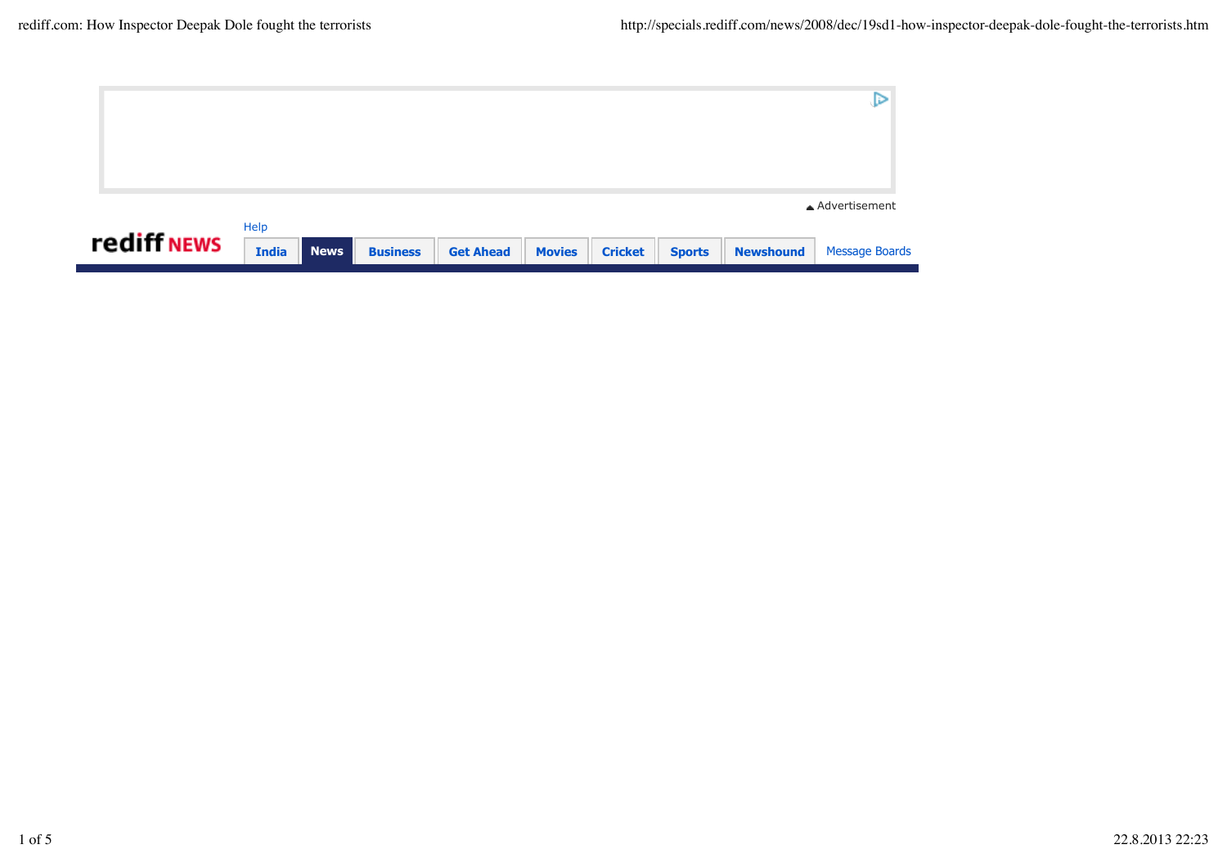|             |              |             |                 |                  |               |                |               |                  | ▲ Advertisement       |
|-------------|--------------|-------------|-----------------|------------------|---------------|----------------|---------------|------------------|-----------------------|
| rediff NEWS | Help         |             |                 |                  |               |                |               |                  |                       |
|             | <b>India</b> | <b>News</b> | <b>Business</b> | <b>Get Ahead</b> | <b>Movies</b> | <b>Cricket</b> | <b>Sports</b> | <b>Newshound</b> | <b>Message Boards</b> |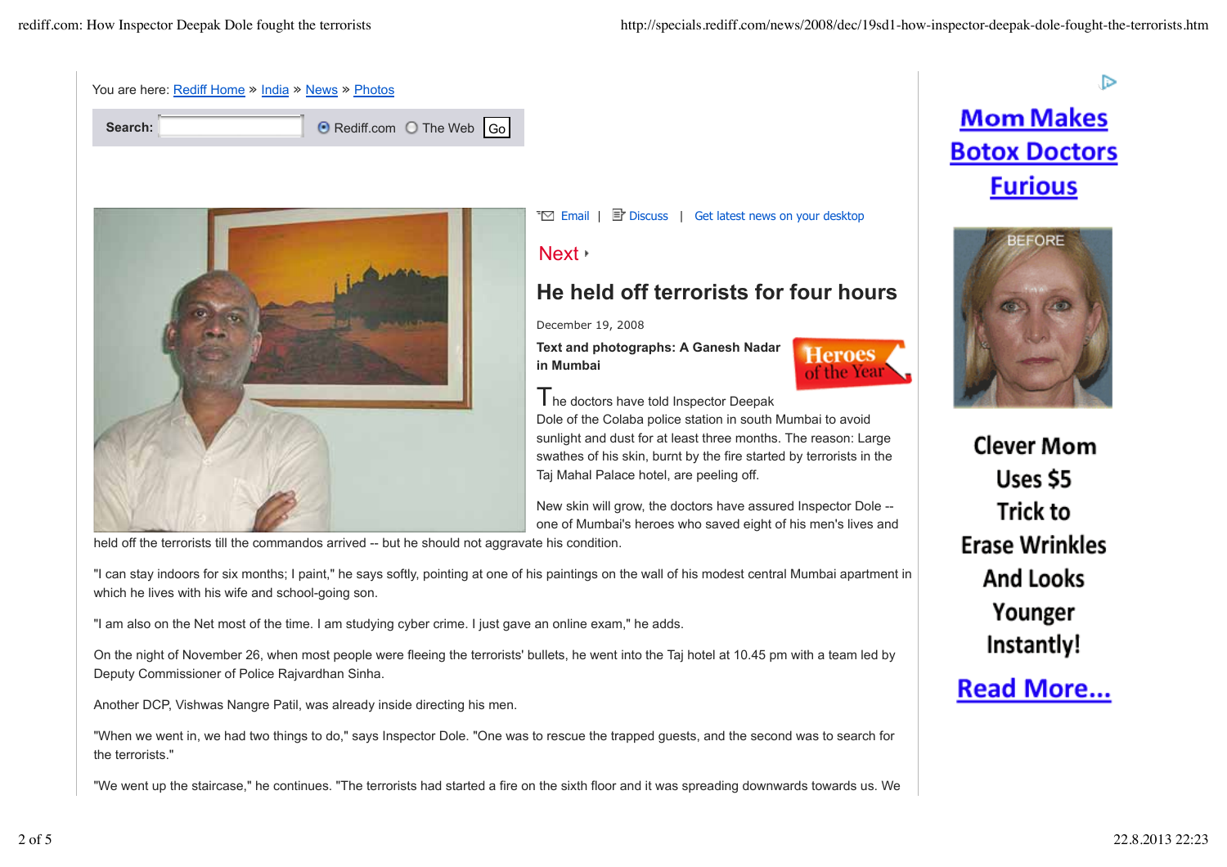



Next

**T** $\Box$  Email | **E** Discuss | Get latest news on your desktop

## **He held off terrorists for four hours**

December 19, 2008

**Text and photographs: A Ganesh Nadar in Mumbai**



The doctors have told Inspector Deepak Dole of the Colaba police station in south Mumbai to avoid sunlight and dust for at least three months. The reason: Large swathes of his skin, burnt by the fire started by terrorists in the Taj Mahal Palace hotel, are peeling off.

New skin will grow, the doctors have assured Inspector Dole - one of Mumbai's heroes who saved eight of his men's lives and

held off the terrorists till the commandos arrived -- but he should not aggravate his condition.

"I can stay indoors for six months; I paint," he says softly, pointing at one of his paintings on the wall of his modest central Mumbai apartment in which he lives with his wife and school-going son.

"I am also on the Net most of the time. I am studying cyber crime. I just gave an online exam," he adds.

On the night of November 26, when most people were fleeing the terrorists' bullets, he went into the Taj hotel at 10.45 pm with a team led by Deputy Commissioner of Police Rajvardhan Sinha.

Another DCP, Vishwas Nangre Patil, was already inside directing his men.

"When we went in, we had two things to do," says Inspector Dole. "One was to rescue the trapped guests, and the second was to search for the terrorists."

"We went up the staircase," he continues. "The terrorists had started a fire on the sixth floor and it was spreading downwards towards us. We

## Þ **Mom Makes Botox Doctors Furious**



**Clever Mom** Uses \$5 Trick to **Erase Wrinkles And Looks** Younger Instantly!

## **Read More...**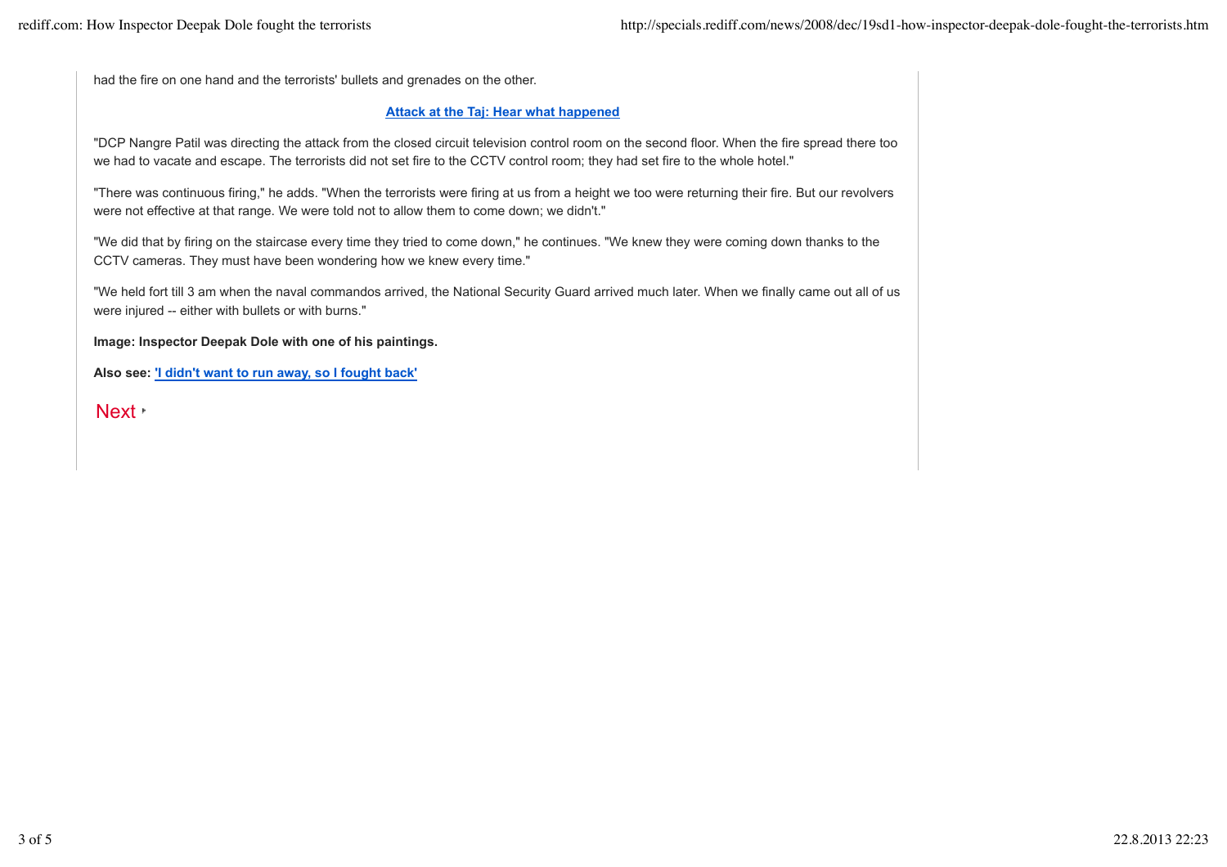had the fire on one hand and the terrorists' bullets and grenades on the other.

## **Attack at the Taj: Hear what happened**

"DCP Nangre Patil was directing the attack from the closed circuit television control room on the second floor. When the fire spread there too we had to vacate and escape. The terrorists did not set fire to the CCTV control room; they had set fire to the whole hotel."

"There was continuous firing," he adds. "When the terrorists were firing at us from a height we too were returning their fire. But our revolvers were not effective at that range. We were told not to allow them to come down; we didn't."

"We did that by firing on the staircase every time they tried to come down," he continues. "We knew they were coming down thanks to the CCTV cameras. They must have been wondering how we knew every time."

"We held fort till 3 am when the naval commandos arrived, the National Security Guard arrived much later. When we finally came out all of us were injured -- either with bullets or with burns."

**Image: Inspector Deepak Dole with one of his paintings.**

**Also see: 'I didn't want to run away, so I fought back'**

Next **·**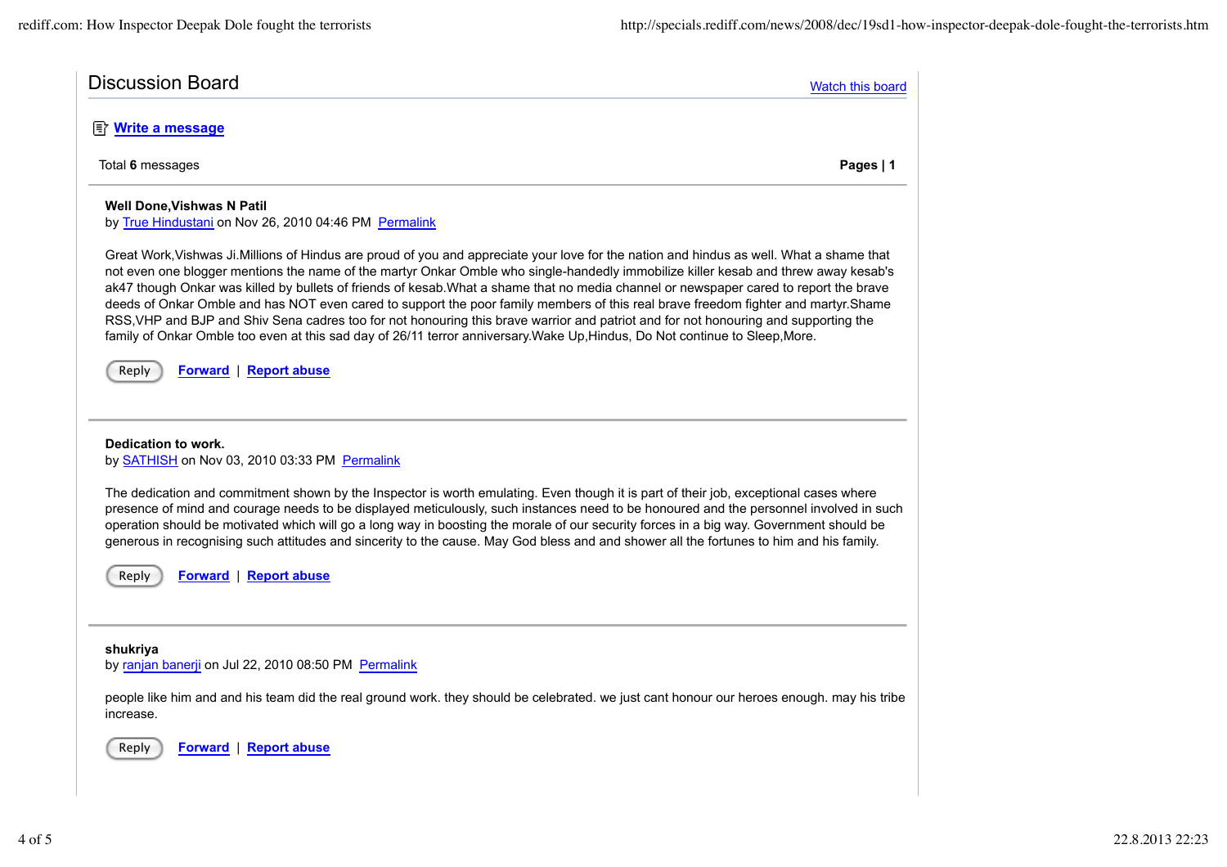